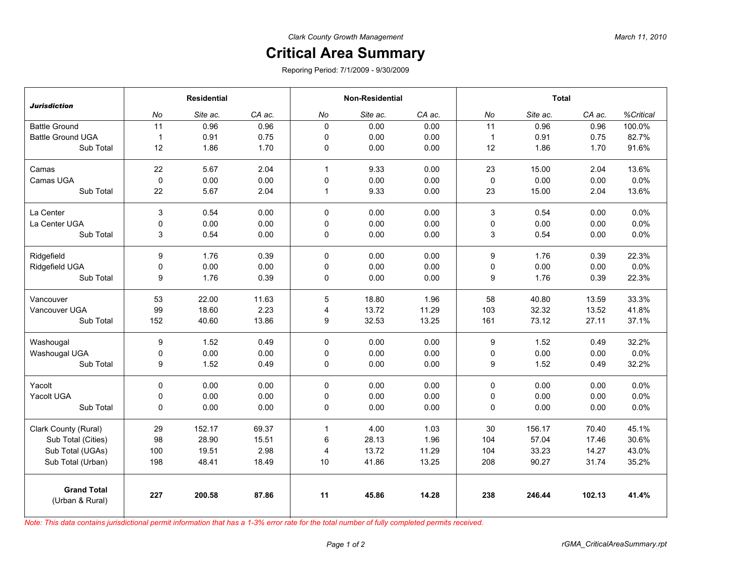## **Critical Area Summary**

Reporing Period: 7/1/2009 - 9/30/2009

| <b>Jurisdiction</b>                   | <b>Residential</b> |          |        | <b>Non-Residential</b> |          |        | <b>Total</b>              |          |        |           |
|---------------------------------------|--------------------|----------|--------|------------------------|----------|--------|---------------------------|----------|--------|-----------|
|                                       | No                 | Site ac. | CA ac. | No                     | Site ac. | CA ac. | No                        | Site ac. | CA ac. | %Critical |
| <b>Battle Ground</b>                  | 11                 | 0.96     | 0.96   | $\mathbf{0}$           | 0.00     | 0.00   | 11                        | 0.96     | 0.96   | 100.0%    |
| <b>Battle Ground UGA</b>              | $\overline{1}$     | 0.91     | 0.75   | $\mathbf 0$            | 0.00     | 0.00   | $\mathbf{1}$              | 0.91     | 0.75   | 82.7%     |
| Sub Total                             | 12                 | 1.86     | 1.70   | $\mathbf 0$            | 0.00     | 0.00   | 12                        | 1.86     | 1.70   | 91.6%     |
| Camas                                 | 22                 | 5.67     | 2.04   | $\mathbf{1}$           | 9.33     | 0.00   | 23                        | 15.00    | 2.04   | 13.6%     |
| Camas UGA                             | $\mathbf 0$        | 0.00     | 0.00   | 0                      | 0.00     | 0.00   | 0                         | 0.00     | 0.00   | 0.0%      |
| Sub Total                             | 22                 | 5.67     | 2.04   | $\mathbf{1}$           | 9.33     | 0.00   | 23                        | 15.00    | 2.04   | 13.6%     |
| La Center                             | 3                  | 0.54     | 0.00   | $\mathbf 0$            | 0.00     | 0.00   | $\ensuremath{\mathsf{3}}$ | 0.54     | 0.00   | 0.0%      |
| La Center UGA                         | 0                  | 0.00     | 0.00   | $\mathbf 0$            | 0.00     | 0.00   | 0                         | 0.00     | 0.00   | 0.0%      |
| Sub Total                             | 3                  | 0.54     | 0.00   | 0                      | 0.00     | 0.00   | 3                         | 0.54     | 0.00   | 0.0%      |
| Ridgefield                            | 9                  | 1.76     | 0.39   | $\mathbf 0$            | 0.00     | 0.00   | 9                         | 1.76     | 0.39   | 22.3%     |
| Ridgefield UGA                        | 0                  | 0.00     | 0.00   | $\mathbf 0$            | 0.00     | 0.00   | 0                         | 0.00     | 0.00   | 0.0%      |
| Sub Total                             | 9                  | 1.76     | 0.39   | 0                      | 0.00     | 0.00   | 9                         | 1.76     | 0.39   | 22.3%     |
| Vancouver                             | 53                 | 22.00    | 11.63  | $\mathbf 5$            | 18.80    | 1.96   | 58                        | 40.80    | 13.59  | 33.3%     |
| Vancouver UGA                         | 99                 | 18.60    | 2.23   | 4                      | 13.72    | 11.29  | 103                       | 32.32    | 13.52  | 41.8%     |
| Sub Total                             | 152                | 40.60    | 13.86  | 9                      | 32.53    | 13.25  | 161                       | 73.12    | 27.11  | 37.1%     |
| Washougal                             | 9                  | 1.52     | 0.49   | $\mathbf 0$            | 0.00     | 0.00   | 9                         | 1.52     | 0.49   | 32.2%     |
| Washougal UGA                         | 0                  | 0.00     | 0.00   | $\mathbf 0$            | 0.00     | 0.00   | 0                         | 0.00     | 0.00   | 0.0%      |
| Sub Total                             | 9                  | 1.52     | 0.49   | 0                      | 0.00     | 0.00   | 9                         | 1.52     | 0.49   | 32.2%     |
| Yacolt                                | $\mathbf 0$        | 0.00     | 0.00   | $\pmb{0}$              | 0.00     | 0.00   | 0                         | 0.00     | 0.00   | 0.0%      |
| Yacolt UGA                            | 0                  | 0.00     | 0.00   | 0                      | 0.00     | 0.00   | 0                         | 0.00     | 0.00   | 0.0%      |
| Sub Total                             | 0                  | 0.00     | 0.00   | 0                      | 0.00     | 0.00   | 0                         | 0.00     | 0.00   | 0.0%      |
| Clark County (Rural)                  | 29                 | 152.17   | 69.37  | $\mathbf{1}$           | 4.00     | 1.03   | 30                        | 156.17   | 70.40  | 45.1%     |
| Sub Total (Cities)                    | 98                 | 28.90    | 15.51  | $\,6\,$                | 28.13    | 1.96   | 104                       | 57.04    | 17.46  | 30.6%     |
| Sub Total (UGAs)                      | 100                | 19.51    | 2.98   | $\overline{4}$         | 13.72    | 11.29  | 104                       | 33.23    | 14.27  | 43.0%     |
| Sub Total (Urban)                     | 198                | 48.41    | 18.49  | 10                     | 41.86    | 13.25  | 208                       | 90.27    | 31.74  | 35.2%     |
| <b>Grand Total</b><br>(Urban & Rural) | 227                | 200.58   | 87.86  | 11                     | 45.86    | 14.28  | 238                       | 246.44   | 102.13 | 41.4%     |

*Note: This data contains jurisdictional permit information that has a 1-3% error rate for the total number of fully completed permits received.*